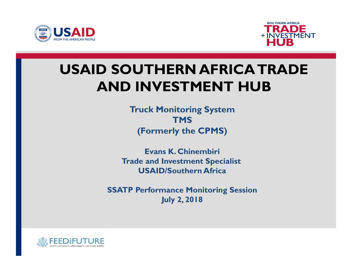



## USAID SOUTHERN AFRICA TRADE AND INVESTMENT HUB **STATENT HUB**<br>Truck Monitoring System<br>TMS<br>(Formerly the CPMS)<br>Evans K. Chinembiri<br>Trade and Investment Specialist<br>USAID/Southern Africa<br>SSATP Performance Monitoring Session<br>July 2, 2018

Truck Monitoring System **TMS** (Formerly the CPMS)

Evans K. Chinembiri Trade and Investment Specialist USAID/Southern Africa

July 2, 2018

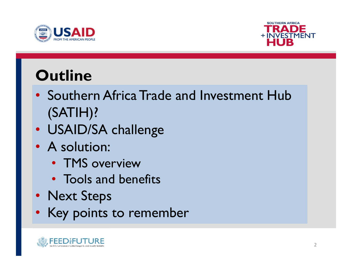



#### **Outline**

- Southern Africa Trade and Investment Hub (SATIH)? • Southern Africa Trade and Inves<br>
(SATIH)?<br>• USAID/SA challenge<br>• A solution:<br>• TMS overview<br>• Tools and benefits<br>• Next Steps<br>• Key points to remember
- USAID/SA challenge
- A solution:
	- TMS overview
	- Tools and benefits
- 
- Key points to remember

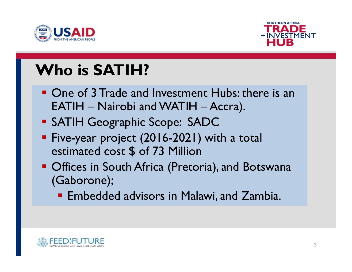



#### Who is SATIH?

- **One of 3 Trade and Investment Hubs: there is an** USAID<br>
TRADE<br>
THE FINEST<br>
THE HUB<br>
One of 3 Trade and Investment Hubs: there is an<br>
EATIH – Nairobi and WATIH – Accra).<br>
SATIH Geographic Scope: SADC<br>
Five-year project (2016-2021) with a total **SATIME TRADE<br>
SATIME TRADE TRADE TRADE THE SATIME THUB**<br>
SATIME TO A SATIME TO A SATIME THE SATIME OF SATIME Geographic Scope: SADC<br>
SATIME Geographic Scope: SADC<br>
SATIME Geographic Scope: SADC<br>
SATIME Geographic Scope: S H<br> **Tho is SATIH?**<br>
One of 3 Trade and Investment Hubs: there i<br>
EATIH – Nairobi and WATIH – Accra).<br>
SATIH Geographic Scope: SADC<br>
Five-year project (2016-2021) with a total<br>
estimated cost \$ of 73 Million<br>
Offices in Sou
- 
- **Five-year project (2016-2021) with a total**
- **Offices in South Africa (Pretoria), and Botswana** (Gaborone);
	- **Embedded advisors in Malawi, and Zambia.**

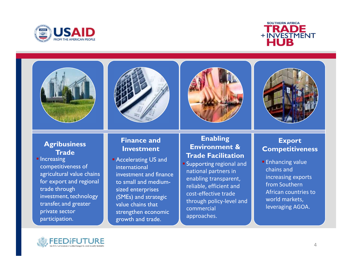





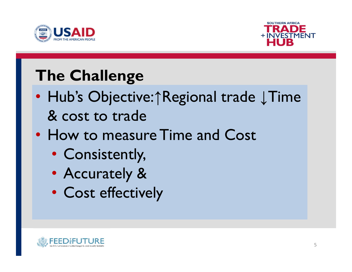



#### The Challenge

- Hub's Objective:↑Regional trade ↓Time & cost to trade
- How to measure Time and Cost
	- Consistently,
	- Accurately &
	- Cost effectively

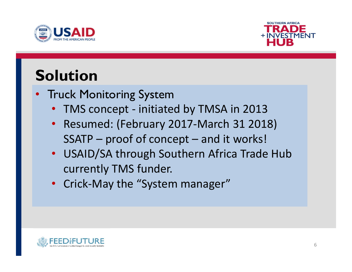



#### Solution

- Truck Monitoring System
	-
- **USAID**<br>
 INVESTMENT<br>
 INVESTMENT<br>
Fruck Monitoring System<br>
 TMS concept initiated by TMSA in 2013<br>
 Resumed: (February 2017-March 31 2018)<br>
SSATP proof of concept and it works! • Resumed: (February 2017-March 31 2018)
- SAID<br>
Ition<br>
Ick Monitoring System<br>
TMS concept initiated by TMSA in 2013<br>
Resumed: (February 2017-March 31 2018)<br>
SSATP proof of concept and it works!<br>
USAID/SA through Southern Africa Trade Hub<br>
currently TMS funde • ITCD<br>
• TMS concept - initiated by TMSA in 2013<br>
• Resumed: (February 2017-March 31 2018)<br>
• SSATP – proof of concept – and it works!<br>
• USAID/SA through Southern Africa Trade Hub<br>
• crick-May the "System manager" currently TMS funder.
	- Crick-May the "System manager"

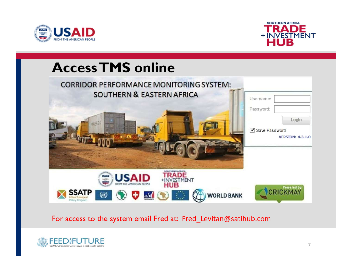





#### For access to the system email Fred at: Fred\_Levitan@satihub.com

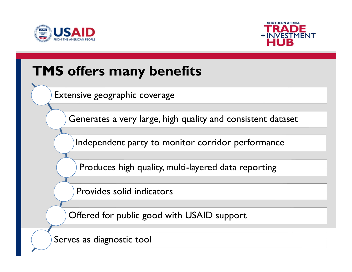



**Burney Committee Committee** 

#### TMS offers many benefits

Extensive geographic coverage

Generates a very large, high quality and consistent dataset

Independent party to monitor corridor performance

Produces high quality, multi-layered data reporting

Provides solid indicators

Offered for public good with USAID support

Serves as diagnostic tool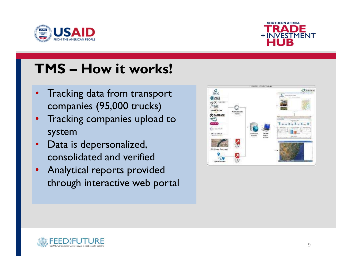



# TMS – How it works!

- Tracking data from transport companies (95,000 trucks)
- Tracking companies upload to system
- Data is depersonalized, consolidated and verified
- Analytical reports provided through interactive web portal



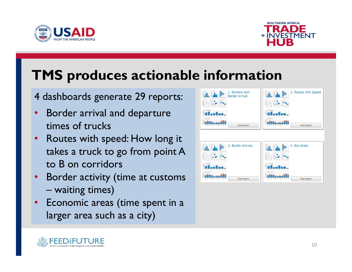



#### TMS produces actionable information

4 dashboards generate 29 reports:

- Border arrival and departure times of trucks
- Routes with speed: How long it takes a truck to go from point A to B on corridors **Example 13 PF Oddeces accionable**<br>lashboards generate 29 reports:<br>Border arrival and departure<br>times of trucks<br>Routes with speed: How long it<br>takes a truck to go from point A<br>to B on corridors<br>Border activity (time at cus
- Border activity (time at customs
- Economic areas (time spent in a larger area such as a city)





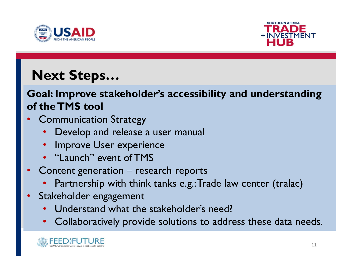



#### Next Steps…

### Goal: Improve stakeholder's accessibility and understanding of the TMS tool **EXALU FRADE<br>
EXALUS FRADE FRADE FRADE**<br> **EXE STEPS...**<br> **EXE STEPS...**<br> **EXE STEPS FRADE FRADE FRADE FRADE FRADE FRADE FRADE FRADE FRADE FRADE FRADE FRADE FRADE FRADE FRADE FRADE FRADE FRAMENT<br>
<b>EXALUS FRAMENT FRAMENT FRA EXT Steps...**<br> **EXT Steps...**<br> **EXT STEPS STEPS...**<br> **EXTIMS tool**<br>
Communication Strategy<br>
• Develop and release a user manual<br>
• Improve User experience<br>
• "Launch" event of TMS<br>
Content generation – research reports **• Next Steps...**<br> **Goal: Improve stakeholder's accessibility and under:**<br> **of the TMS tool**<br>
• Communication Strategy<br>
• Develop and release a user manual<br>
• Improve User experience<br>
• "Launch" event of TMS<br>
• Content gen Goal: Improve stakeholder's accessibility ar<br>
of the TMS tool<br>
• Communication Strategy<br>
• Develop and release a user manual<br>
• Improve User experience<br>
• "Launch" event of TMS<br>
• Content generation – research reports<br>
• P **EXECUTE IS THE SERVICE IS ACCESSIONERY AND SERVICE THIS COOPERATION**<br>• Develop and release a user manual<br>• Improve User experience<br>• "Launch" event of TMS<br>**Content generation – research reports**<br>• Partnership with think t

- Communication Strategy
	-
	-
	- "Launch" event of TMS
- - Partnership with think tanks e.g.: Trade law center (tralac)
- -
	- Collaboratively provide solutions to address these data needs.